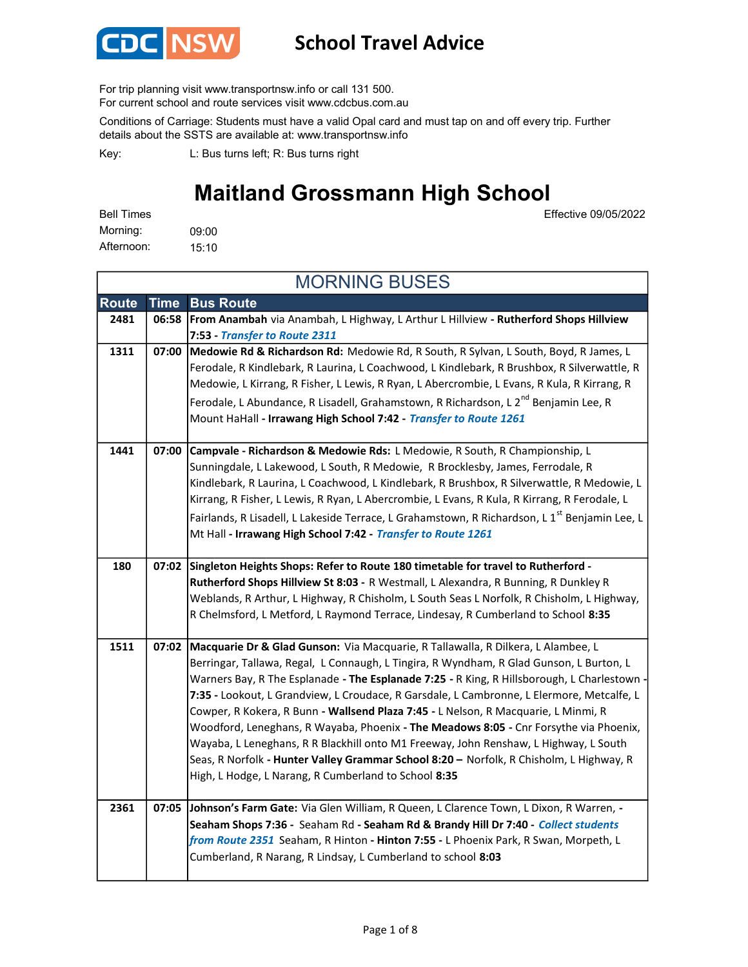

## School Travel Advice

For trip planning visit www.transportnsw.info or call 131 500.

For current school and route services visit www.cdcbus.com.au

Conditions of Carriage: Students must have a valid Opal card and must tap on and off every trip. Further details about the SSTS are available at: www.transportnsw.info

L: Bus turns left; R: Bus turns right Key:

# Maitland Grossmann High School

Effective 09/05/2022

09:00 15:10 Afternoon: Bell Times Morning:

| <b>MORNING BUSES</b> |       |                                                                                                           |  |
|----------------------|-------|-----------------------------------------------------------------------------------------------------------|--|
| <b>Route</b>         | Time  | <b>Bus Route</b>                                                                                          |  |
| 2481                 |       | 06:58   From Anambah via Anambah, L Highway, L Arthur L Hillview - Rutherford Shops Hillview              |  |
|                      |       | 7:53 - Transfer to Route 2311                                                                             |  |
| 1311                 | 07:00 | Medowie Rd & Richardson Rd: Medowie Rd, R South, R Sylvan, L South, Boyd, R James, L                      |  |
|                      |       | Ferodale, R Kindlebark, R Laurina, L Coachwood, L Kindlebark, R Brushbox, R Silverwattle, R               |  |
|                      |       | Medowie, L Kirrang, R Fisher, L Lewis, R Ryan, L Abercrombie, L Evans, R Kula, R Kirrang, R               |  |
|                      |       | Ferodale, L Abundance, R Lisadell, Grahamstown, R Richardson, L 2 <sup>nd</sup> Benjamin Lee, R           |  |
|                      |       | Mount HaHall - Irrawang High School 7:42 - Transfer to Route 1261                                         |  |
| 1441                 | 07:00 | Campvale - Richardson & Medowie Rds: L Medowie, R South, R Championship, L                                |  |
|                      |       | Sunningdale, L Lakewood, L South, R Medowie, R Brocklesby, James, Ferrodale, R                            |  |
|                      |       | Kindlebark, R Laurina, L Coachwood, L Kindlebark, R Brushbox, R Silverwattle, R Medowie, L                |  |
|                      |       | Kirrang, R Fisher, L Lewis, R Ryan, L Abercrombie, L Evans, R Kula, R Kirrang, R Ferodale, L              |  |
|                      |       | Fairlands, R Lisadell, L Lakeside Terrace, L Grahamstown, R Richardson, L 1 <sup>st</sup> Benjamin Lee, L |  |
|                      |       | Mt Hall - Irrawang High School 7:42 - Transfer to Route 1261                                              |  |
| 180                  |       | 07:02 Singleton Heights Shops: Refer to Route 180 timetable for travel to Rutherford -                    |  |
|                      |       | Rutherford Shops Hillview St 8:03 - R Westmall, L Alexandra, R Bunning, R Dunkley R                       |  |
|                      |       | Weblands, R Arthur, L Highway, R Chisholm, L South Seas L Norfolk, R Chisholm, L Highway,                 |  |
|                      |       | R Chelmsford, L Metford, L Raymond Terrace, Lindesay, R Cumberland to School 8:35                         |  |
| 1511                 | 07:02 | Macquarie Dr & Glad Gunson: Via Macquarie, R Tallawalla, R Dilkera, L Alambee, L                          |  |
|                      |       | Berringar, Tallawa, Regal, L Connaugh, L Tingira, R Wyndham, R Glad Gunson, L Burton, L                   |  |
|                      |       | Warners Bay, R The Esplanade - The Esplanade 7:25 - R King, R Hillsborough, L Charlestown -               |  |
|                      |       | 7:35 - Lookout, L Grandview, L Croudace, R Garsdale, L Cambronne, L Elermore, Metcalfe, L                 |  |
|                      |       | Cowper, R Kokera, R Bunn - Wallsend Plaza 7:45 - L Nelson, R Macquarie, L Minmi, R                        |  |
|                      |       | Woodford, Leneghans, R Wayaba, Phoenix - The Meadows 8:05 - Cnr Forsythe via Phoenix,                     |  |
|                      |       | Wayaba, L Leneghans, R R Blackhill onto M1 Freeway, John Renshaw, L Highway, L South                      |  |
|                      |       | Seas, R Norfolk - Hunter Valley Grammar School 8:20 - Norfolk, R Chisholm, L Highway, R                   |  |
|                      |       | High, L Hodge, L Narang, R Cumberland to School 8:35                                                      |  |
| 2361                 |       | 07:05 Johnson's Farm Gate: Via Glen William, R Queen, L Clarence Town, L Dixon, R Warren, -               |  |
|                      |       | Seaham Shops 7:36 - Seaham Rd - Seaham Rd & Brandy Hill Dr 7:40 - Collect students                        |  |
|                      |       | from Route 2351 Seaham, R Hinton - Hinton 7:55 - L Phoenix Park, R Swan, Morpeth, L                       |  |
|                      |       | Cumberland, R Narang, R Lindsay, L Cumberland to school 8:03                                              |  |
|                      |       |                                                                                                           |  |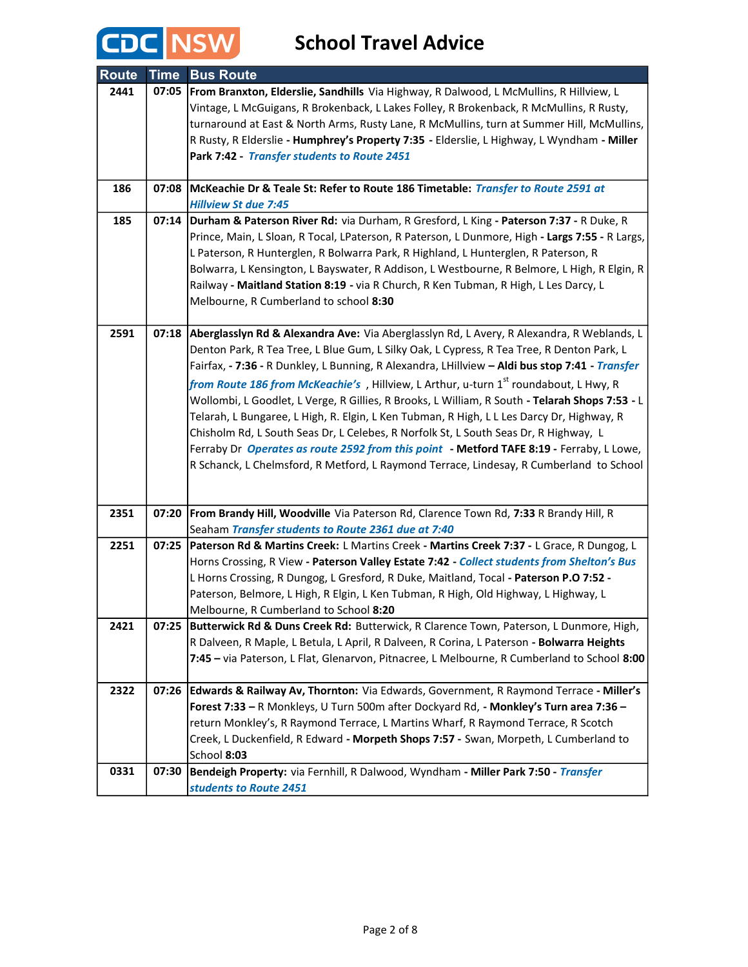

| <b>Route</b> | <b>Time</b> | <b>Bus Route</b>                                                                                                                                                                         |
|--------------|-------------|------------------------------------------------------------------------------------------------------------------------------------------------------------------------------------------|
| 2441         | 07:05       | From Branxton, Elderslie, Sandhills Via Highway, R Dalwood, L McMullins, R Hillview, L                                                                                                   |
|              |             | Vintage, L McGuigans, R Brokenback, L Lakes Folley, R Brokenback, R McMullins, R Rusty,                                                                                                  |
|              |             | turnaround at East & North Arms, Rusty Lane, R McMullins, turn at Summer Hill, McMullins,                                                                                                |
|              |             | R Rusty, R Elderslie - Humphrey's Property 7:35 - Elderslie, L Highway, L Wyndham - Miller                                                                                               |
|              |             | Park 7:42 - Transfer students to Route 2451                                                                                                                                              |
|              |             |                                                                                                                                                                                          |
| 186          | 07:08       | McKeachie Dr & Teale St: Refer to Route 186 Timetable: Transfer to Route 2591 at                                                                                                         |
|              |             | <b>Hillview St due 7:45</b>                                                                                                                                                              |
| 185          | 07:14       | Durham & Paterson River Rd: via Durham, R Gresford, L King - Paterson 7:37 - R Duke, R                                                                                                   |
|              |             | Prince, Main, L Sloan, R Tocal, LPaterson, R Paterson, L Dunmore, High - Largs 7:55 - R Largs,                                                                                           |
|              |             | L Paterson, R Hunterglen, R Bolwarra Park, R Highland, L Hunterglen, R Paterson, R                                                                                                       |
|              |             | Bolwarra, L Kensington, L Bayswater, R Addison, L Westbourne, R Belmore, L High, R Elgin, R                                                                                              |
|              |             | Railway - Maitland Station 8:19 - via R Church, R Ken Tubman, R High, L Les Darcy, L                                                                                                     |
|              |             | Melbourne, R Cumberland to school 8:30                                                                                                                                                   |
| 2591         |             | 07:18 Aberglasslyn Rd & Alexandra Ave: Via Aberglasslyn Rd, L Avery, R Alexandra, R Weblands, L                                                                                          |
|              |             | Denton Park, R Tea Tree, L Blue Gum, L Silky Oak, L Cypress, R Tea Tree, R Denton Park, L                                                                                                |
|              |             | Fairfax, - 7:36 - R Dunkley, L Bunning, R Alexandra, LHillview - Aldi bus stop 7:41 - Transfer                                                                                           |
|              |             | from Route 186 from McKeachie's, Hillview, L Arthur, u-turn 1st roundabout, L Hwy, R                                                                                                     |
|              |             | Wollombi, L Goodlet, L Verge, R Gillies, R Brooks, L William, R South - Telarah Shops 7:53 - L                                                                                           |
|              |             | Telarah, L Bungaree, L High, R. Elgin, L Ken Tubman, R High, L L Les Darcy Dr, Highway, R                                                                                                |
|              |             | Chisholm Rd, L South Seas Dr, L Celebes, R Norfolk St, L South Seas Dr, R Highway, L                                                                                                     |
|              |             | Ferraby Dr Operates as route 2592 from this point - Metford TAFE 8:19 - Ferraby, L Lowe,                                                                                                 |
|              |             | R Schanck, L Chelmsford, R Metford, L Raymond Terrace, Lindesay, R Cumberland to School                                                                                                  |
|              |             |                                                                                                                                                                                          |
|              |             |                                                                                                                                                                                          |
| 2351         | 07:20       | From Brandy Hill, Woodville Via Paterson Rd, Clarence Town Rd, 7:33 R Brandy Hill, R                                                                                                     |
|              |             | Seaham Transfer students to Route 2361 due at 7:40                                                                                                                                       |
| 2251         | 07:25       | Paterson Rd & Martins Creek: L Martins Creek - Martins Creek 7:37 - L Grace, R Dungog, L                                                                                                 |
|              |             | Horns Crossing, R View - Paterson Valley Estate 7:42 - Collect students from Shelton's Bus                                                                                               |
|              |             | L Horns Crossing, R Dungog, L Gresford, R Duke, Maitland, Tocal - Paterson P.O 7:52 -                                                                                                    |
|              |             | Paterson, Belmore, L High, R Elgin, L Ken Tubman, R High, Old Highway, L Highway, L                                                                                                      |
|              |             | Melbourne, R Cumberland to School 8:20                                                                                                                                                   |
| 2421         | 07:25       | Butterwick Rd & Duns Creek Rd: Butterwick, R Clarence Town, Paterson, L Dunmore, High,                                                                                                   |
|              |             | R Dalveen, R Maple, L Betula, L April, R Dalveen, R Corina, L Paterson - Bolwarra Heights<br>7:45 - via Paterson, L Flat, Glenarvon, Pitnacree, L Melbourne, R Cumberland to School 8:00 |
|              |             |                                                                                                                                                                                          |
| 2322         | 07:26       | Edwards & Railway Av, Thornton: Via Edwards, Government, R Raymond Terrace - Miller's                                                                                                    |
|              |             | Forest 7:33 - R Monkleys, U Turn 500m after Dockyard Rd, - Monkley's Turn area 7:36 -                                                                                                    |
|              |             | return Monkley's, R Raymond Terrace, L Martins Wharf, R Raymond Terrace, R Scotch                                                                                                        |
|              |             | Creek, L Duckenfield, R Edward - Morpeth Shops 7:57 - Swan, Morpeth, L Cumberland to                                                                                                     |
|              |             | School 8:03                                                                                                                                                                              |
| 0331         | 07:30       | Bendeigh Property: via Fernhill, R Dalwood, Wyndham - Miller Park 7:50 - Transfer                                                                                                        |
|              |             | students to Route 2451                                                                                                                                                                   |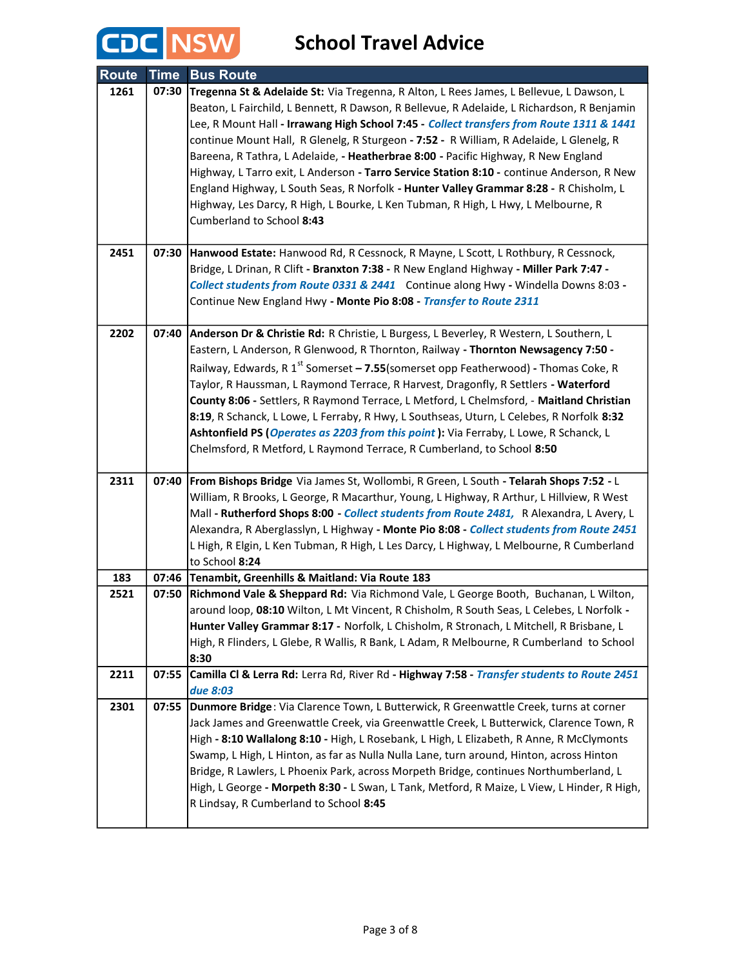

| <b>Route</b> | <b>Time</b> | <b>Bus Route</b>                                                                                                                                                                                                                                                                                                                                                                                                                                                                                                                                                                                                                                                                                                                                                           |
|--------------|-------------|----------------------------------------------------------------------------------------------------------------------------------------------------------------------------------------------------------------------------------------------------------------------------------------------------------------------------------------------------------------------------------------------------------------------------------------------------------------------------------------------------------------------------------------------------------------------------------------------------------------------------------------------------------------------------------------------------------------------------------------------------------------------------|
| 1261         | 07:30       | Tregenna St & Adelaide St: Via Tregenna, R Alton, L Rees James, L Bellevue, L Dawson, L<br>Beaton, L Fairchild, L Bennett, R Dawson, R Bellevue, R Adelaide, L Richardson, R Benjamin<br>Lee, R Mount Hall - Irrawang High School 7:45 - Collect transfers from Route 1311 & 1441<br>continue Mount Hall, R Glenelg, R Sturgeon - 7:52 - R William, R Adelaide, L Glenelg, R<br>Bareena, R Tathra, L Adelaide, - Heatherbrae 8:00 - Pacific Highway, R New England<br>Highway, L Tarro exit, L Anderson - Tarro Service Station 8:10 - continue Anderson, R New<br>England Highway, L South Seas, R Norfolk - Hunter Valley Grammar 8:28 - R Chisholm, L<br>Highway, Les Darcy, R High, L Bourke, L Ken Tubman, R High, L Hwy, L Melbourne, R<br>Cumberland to School 8:43 |
| 2451         | 07:30       | Hanwood Estate: Hanwood Rd, R Cessnock, R Mayne, L Scott, L Rothbury, R Cessnock,<br>Bridge, L Drinan, R Clift - Branxton 7:38 - R New England Highway - Miller Park 7:47 -<br>Collect students from Route 0331 & 2441 Continue along Hwy - Windella Downs 8:03 -<br>Continue New England Hwy - Monte Pio 8:08 - Transfer to Route 2311                                                                                                                                                                                                                                                                                                                                                                                                                                    |
| 2202         | 07:40       | Anderson Dr & Christie Rd: R Christie, L Burgess, L Beverley, R Western, L Southern, L<br>Eastern, L Anderson, R Glenwood, R Thornton, Railway - Thornton Newsagency 7:50 -<br>Railway, Edwards, R 1 <sup>st</sup> Somerset - 7.55(somerset opp Featherwood) - Thomas Coke, R<br>Taylor, R Haussman, L Raymond Terrace, R Harvest, Dragonfly, R Settlers - Waterford<br>County 8:06 - Settlers, R Raymond Terrace, L Metford, L Chelmsford, - Maitland Christian<br>8:19, R Schanck, L Lowe, L Ferraby, R Hwy, L Southseas, Uturn, L Celebes, R Norfolk 8:32<br>Ashtonfield PS (Operates as 2203 from this point): Via Ferraby, L Lowe, R Schanck, L<br>Chelmsford, R Metford, L Raymond Terrace, R Cumberland, to School 8:50                                             |
| 2311         | 07:40       | From Bishops Bridge Via James St, Wollombi, R Green, L South - Telarah Shops 7:52 - L<br>William, R Brooks, L George, R Macarthur, Young, L Highway, R Arthur, L Hillview, R West<br>Mall - Rutherford Shops 8:00 - Collect students from Route 2481, R Alexandra, L Avery, L<br>Alexandra, R Aberglasslyn, L Highway - Monte Pio 8:08 - Collect students from Route 2451<br>L High, R Elgin, L Ken Tubman, R High, L Les Darcy, L Highway, L Melbourne, R Cumberland<br>to School 8:24                                                                                                                                                                                                                                                                                    |
| 183          | 07:46       | Tenambit, Greenhills & Maitland: Via Route 183                                                                                                                                                                                                                                                                                                                                                                                                                                                                                                                                                                                                                                                                                                                             |
| 2521         | 07:50       | Richmond Vale & Sheppard Rd: Via Richmond Vale, L George Booth, Buchanan, L Wilton,<br>around loop, 08:10 Wilton, L Mt Vincent, R Chisholm, R South Seas, L Celebes, L Norfolk -<br>Hunter Valley Grammar 8:17 - Norfolk, L Chisholm, R Stronach, L Mitchell, R Brisbane, L<br>High, R Flinders, L Glebe, R Wallis, R Bank, L Adam, R Melbourne, R Cumberland to School<br>8:30                                                                                                                                                                                                                                                                                                                                                                                            |
| 2211         | 07:55       | Camilla Cl & Lerra Rd: Lerra Rd, River Rd - Highway 7:58 - Transfer students to Route 2451<br>due 8:03                                                                                                                                                                                                                                                                                                                                                                                                                                                                                                                                                                                                                                                                     |
| 2301         | 07:55       | Dunmore Bridge: Via Clarence Town, L Butterwick, R Greenwattle Creek, turns at corner<br>Jack James and Greenwattle Creek, via Greenwattle Creek, L Butterwick, Clarence Town, R<br>High - 8:10 Wallalong 8:10 - High, L Rosebank, L High, L Elizabeth, R Anne, R McClymonts<br>Swamp, L High, L Hinton, as far as Nulla Nulla Lane, turn around, Hinton, across Hinton<br>Bridge, R Lawlers, L Phoenix Park, across Morpeth Bridge, continues Northumberland, L<br>High, L George - Morpeth 8:30 - L Swan, L Tank, Metford, R Maize, L View, L Hinder, R High,<br>R Lindsay, R Cumberland to School 8:45                                                                                                                                                                  |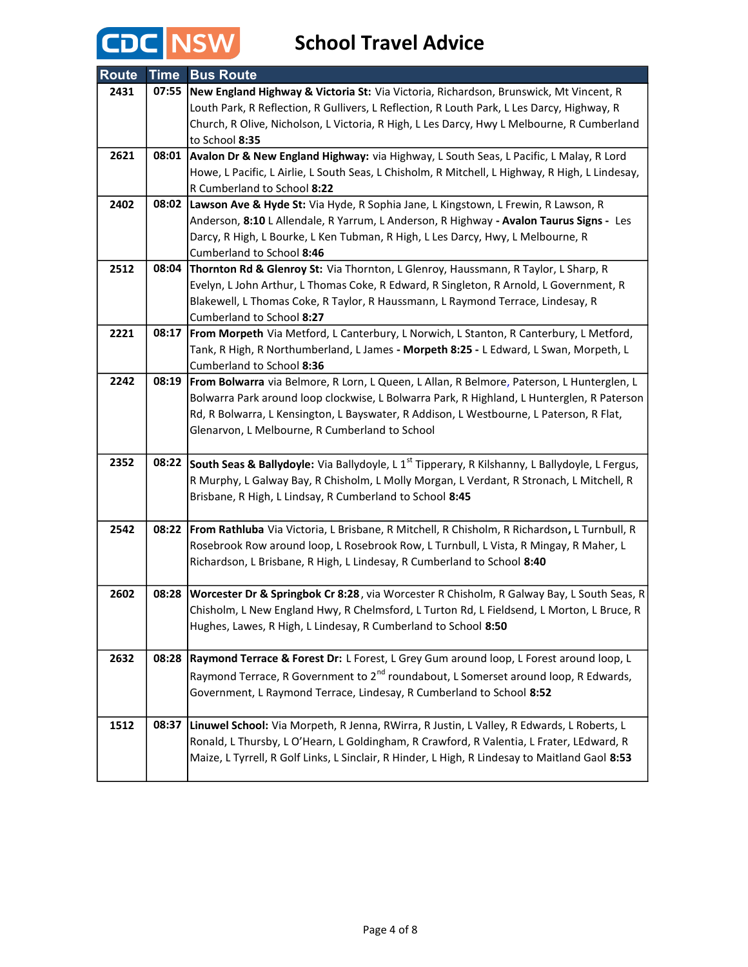

| <b>Route</b> | <b>Time</b> | <b>Bus Route</b>                                                                                                                                                                |
|--------------|-------------|---------------------------------------------------------------------------------------------------------------------------------------------------------------------------------|
| 2431         | 07:55       | New England Highway & Victoria St: Via Victoria, Richardson, Brunswick, Mt Vincent, R                                                                                           |
|              |             | Louth Park, R Reflection, R Gullivers, L Reflection, R Louth Park, L Les Darcy, Highway, R                                                                                      |
|              |             | Church, R Olive, Nicholson, L Victoria, R High, L Les Darcy, Hwy L Melbourne, R Cumberland                                                                                      |
|              |             | to School 8:35                                                                                                                                                                  |
| 2621         | 08:01       | Avalon Dr & New England Highway: via Highway, L South Seas, L Pacific, L Malay, R Lord                                                                                          |
|              |             | Howe, L Pacific, L Airlie, L South Seas, L Chisholm, R Mitchell, L Highway, R High, L Lindesay,                                                                                 |
|              |             | R Cumberland to School 8:22                                                                                                                                                     |
| 2402         | 08:02       | Lawson Ave & Hyde St: Via Hyde, R Sophia Jane, L Kingstown, L Frewin, R Lawson, R                                                                                               |
|              |             | Anderson, 8:10 L Allendale, R Yarrum, L Anderson, R Highway - Avalon Taurus Signs - Les                                                                                         |
|              |             | Darcy, R High, L Bourke, L Ken Tubman, R High, L Les Darcy, Hwy, L Melbourne, R                                                                                                 |
|              |             | Cumberland to School 8:46                                                                                                                                                       |
| 2512         | 08:04       | Thornton Rd & Glenroy St: Via Thornton, L Glenroy, Haussmann, R Taylor, L Sharp, R                                                                                              |
|              |             | Evelyn, L John Arthur, L Thomas Coke, R Edward, R Singleton, R Arnold, L Government, R                                                                                          |
|              |             | Blakewell, L Thomas Coke, R Taylor, R Haussmann, L Raymond Terrace, Lindesay, R                                                                                                 |
|              |             | Cumberland to School 8:27                                                                                                                                                       |
| 2221         | 08:17       | From Morpeth Via Metford, L Canterbury, L Norwich, L Stanton, R Canterbury, L Metford,<br>Tank, R High, R Northumberland, L James - Morpeth 8:25 - L Edward, L Swan, Morpeth, L |
|              |             | Cumberland to School 8:36                                                                                                                                                       |
| 2242         | 08:19       | From Bolwarra via Belmore, R Lorn, L Queen, L Allan, R Belmore, Paterson, L Hunterglen, L                                                                                       |
|              |             | Bolwarra Park around loop clockwise, L Bolwarra Park, R Highland, L Hunterglen, R Paterson                                                                                      |
|              |             | Rd, R Bolwarra, L Kensington, L Bayswater, R Addison, L Westbourne, L Paterson, R Flat,                                                                                         |
|              |             | Glenarvon, L Melbourne, R Cumberland to School                                                                                                                                  |
|              |             |                                                                                                                                                                                 |
| 2352         | 08:22       | South Seas & Ballydoyle: Via Ballydoyle, L 1 <sup>st</sup> Tipperary, R Kilshanny, L Ballydoyle, L Fergus,                                                                      |
|              |             | R Murphy, L Galway Bay, R Chisholm, L Molly Morgan, L Verdant, R Stronach, L Mitchell, R                                                                                        |
|              |             | Brisbane, R High, L Lindsay, R Cumberland to School 8:45                                                                                                                        |
|              |             |                                                                                                                                                                                 |
| 2542         | 08:22       | From Rathluba Via Victoria, L Brisbane, R Mitchell, R Chisholm, R Richardson, L Turnbull, R                                                                                     |
|              |             | Rosebrook Row around loop, L Rosebrook Row, L Turnbull, L Vista, R Mingay, R Maher, L                                                                                           |
|              |             | Richardson, L Brisbane, R High, L Lindesay, R Cumberland to School 8:40                                                                                                         |
|              |             |                                                                                                                                                                                 |
| 2602         | 08:28       | Worcester Dr & Springbok Cr 8:28, via Worcester R Chisholm, R Galway Bay, L South Seas, R                                                                                       |
|              |             | Chisholm, L New England Hwy, R Chelmsford, L Turton Rd, L Fieldsend, L Morton, L Bruce, R                                                                                       |
|              |             | Hughes, Lawes, R High, L Lindesay, R Cumberland to School 8:50                                                                                                                  |
|              |             |                                                                                                                                                                                 |
| 2632         | 08:28       | Raymond Terrace & Forest Dr: L Forest, L Grey Gum around loop, L Forest around loop, L                                                                                          |
|              |             | Raymond Terrace, R Government to 2 <sup>nd</sup> roundabout, L Somerset around loop, R Edwards,                                                                                 |
|              |             | Government, L Raymond Terrace, Lindesay, R Cumberland to School 8:52                                                                                                            |
|              |             |                                                                                                                                                                                 |
| 1512         | 08:37       | Linuwel School: Via Morpeth, R Jenna, RWirra, R Justin, L Valley, R Edwards, L Roberts, L                                                                                       |
|              |             | Ronald, L Thursby, L O'Hearn, L Goldingham, R Crawford, R Valentia, L Frater, LEdward, R                                                                                        |
|              |             | Maize, L Tyrrell, R Golf Links, L Sinclair, R Hinder, L High, R Lindesay to Maitland Gaol 8:53                                                                                  |
|              |             |                                                                                                                                                                                 |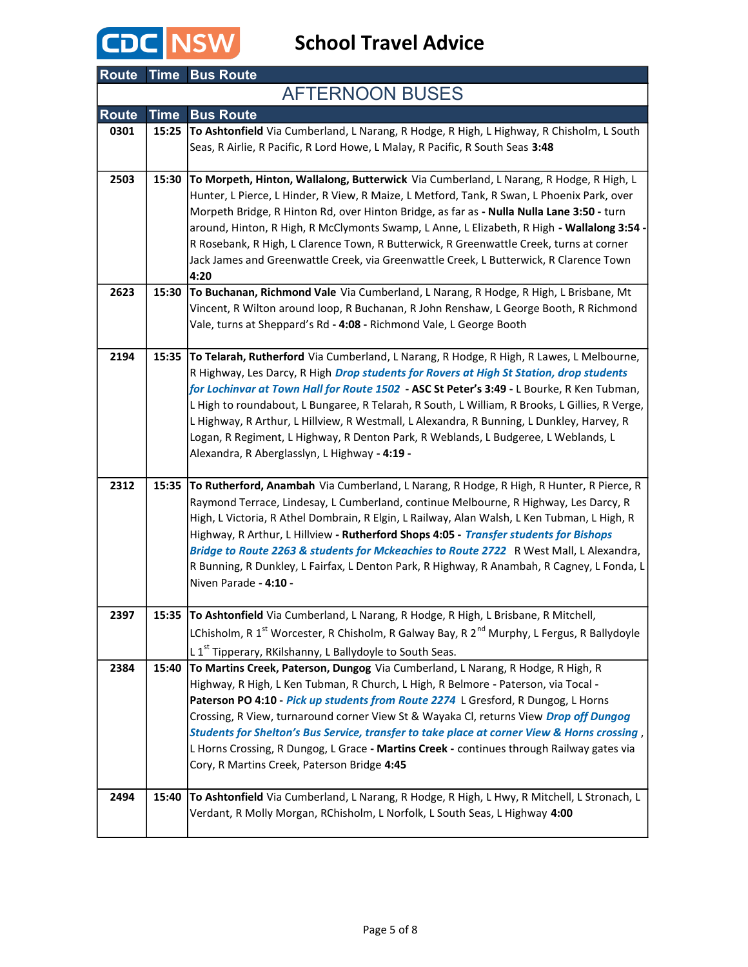

|              |             | <b>Route Time Bus Route</b>                                                                                                                                                                                                                                                                                                                                                                                                                                                                                                                                                                                           |
|--------------|-------------|-----------------------------------------------------------------------------------------------------------------------------------------------------------------------------------------------------------------------------------------------------------------------------------------------------------------------------------------------------------------------------------------------------------------------------------------------------------------------------------------------------------------------------------------------------------------------------------------------------------------------|
|              |             | <b>AFTERNOON BUSES</b>                                                                                                                                                                                                                                                                                                                                                                                                                                                                                                                                                                                                |
| <b>Route</b> | <b>Time</b> | <b>Bus Route</b>                                                                                                                                                                                                                                                                                                                                                                                                                                                                                                                                                                                                      |
| 0301         | 15:25       | To Ashtonfield Via Cumberland, L Narang, R Hodge, R High, L Highway, R Chisholm, L South<br>Seas, R Airlie, R Pacific, R Lord Howe, L Malay, R Pacific, R South Seas 3:48                                                                                                                                                                                                                                                                                                                                                                                                                                             |
| 2503         | 15:30       | To Morpeth, Hinton, Wallalong, Butterwick Via Cumberland, L Narang, R Hodge, R High, L<br>Hunter, L Pierce, L Hinder, R View, R Maize, L Metford, Tank, R Swan, L Phoenix Park, over<br>Morpeth Bridge, R Hinton Rd, over Hinton Bridge, as far as - Nulla Nulla Lane 3:50 - turn<br>around, Hinton, R High, R McClymonts Swamp, L Anne, L Elizabeth, R High - Wallalong 3:54 -<br>R Rosebank, R High, L Clarence Town, R Butterwick, R Greenwattle Creek, turns at corner<br>Jack James and Greenwattle Creek, via Greenwattle Creek, L Butterwick, R Clarence Town<br>4:20                                          |
| 2623         | 15:30       | To Buchanan, Richmond Vale Via Cumberland, L Narang, R Hodge, R High, L Brisbane, Mt<br>Vincent, R Wilton around loop, R Buchanan, R John Renshaw, L George Booth, R Richmond<br>Vale, turns at Sheppard's Rd - 4:08 - Richmond Vale, L George Booth                                                                                                                                                                                                                                                                                                                                                                  |
| 2194         | 15:35       | To Telarah, Rutherford Via Cumberland, L Narang, R Hodge, R High, R Lawes, L Melbourne,<br>R Highway, Les Darcy, R High Drop students for Rovers at High St Station, drop students<br>for Lochinvar at Town Hall for Route 1502 - ASC St Peter's 3:49 - L Bourke, R Ken Tubman,<br>L High to roundabout, L Bungaree, R Telarah, R South, L William, R Brooks, L Gillies, R Verge,<br>L Highway, R Arthur, L Hillview, R Westmall, L Alexandra, R Bunning, L Dunkley, Harvey, R<br>Logan, R Regiment, L Highway, R Denton Park, R Weblands, L Budgeree, L Weblands, L<br>Alexandra, R Aberglasslyn, L Highway - 4:19 - |
| 2312         | 15:35       | To Rutherford, Anambah Via Cumberland, L Narang, R Hodge, R High, R Hunter, R Pierce, R<br>Raymond Terrace, Lindesay, L Cumberland, continue Melbourne, R Highway, Les Darcy, R<br>High, L Victoria, R Athel Dombrain, R Elgin, L Railway, Alan Walsh, L Ken Tubman, L High, R<br>Highway, R Arthur, L Hillview - Rutherford Shops 4:05 - Transfer students for Bishops<br>Bridge to Route 2263 & students for Mckeachies to Route 2722 R West Mall, L Alexandra,<br>R Bunning, R Dunkley, L Fairfax, L Denton Park, R Highway, R Anambah, R Cagney, L Fonda, L<br>Niven Parade - 4:10 -                              |
| 2397         |             | 15:35 To Ashtonfield Via Cumberland, L Narang, R Hodge, R High, L Brisbane, R Mitchell,<br>LChisholm, R 1 <sup>st</sup> Worcester, R Chisholm, R Galway Bay, R 2 <sup>nd</sup> Murphy, L Fergus, R Ballydoyle<br>L 1 <sup>st</sup> Tipperary, RKilshanny, L Ballydoyle to South Seas.                                                                                                                                                                                                                                                                                                                                 |
| 2384         | 15:40       | To Martins Creek, Paterson, Dungog Via Cumberland, L Narang, R Hodge, R High, R<br>Highway, R High, L Ken Tubman, R Church, L High, R Belmore - Paterson, via Tocal -<br>Paterson PO 4:10 - Pick up students from Route 2274 L Gresford, R Dungog, L Horns<br>Crossing, R View, turnaround corner View St & Wayaka CI, returns View Drop off Dungog<br>Students for Shelton's Bus Service, transfer to take place at corner View & Horns crossing,<br>L Horns Crossing, R Dungog, L Grace - Martins Creek - continues through Railway gates via<br>Cory, R Martins Creek, Paterson Bridge 4:45                        |
| 2494         | 15:40       | To Ashtonfield Via Cumberland, L Narang, R Hodge, R High, L Hwy, R Mitchell, L Stronach, L<br>Verdant, R Molly Morgan, RChisholm, L Norfolk, L South Seas, L Highway 4:00                                                                                                                                                                                                                                                                                                                                                                                                                                             |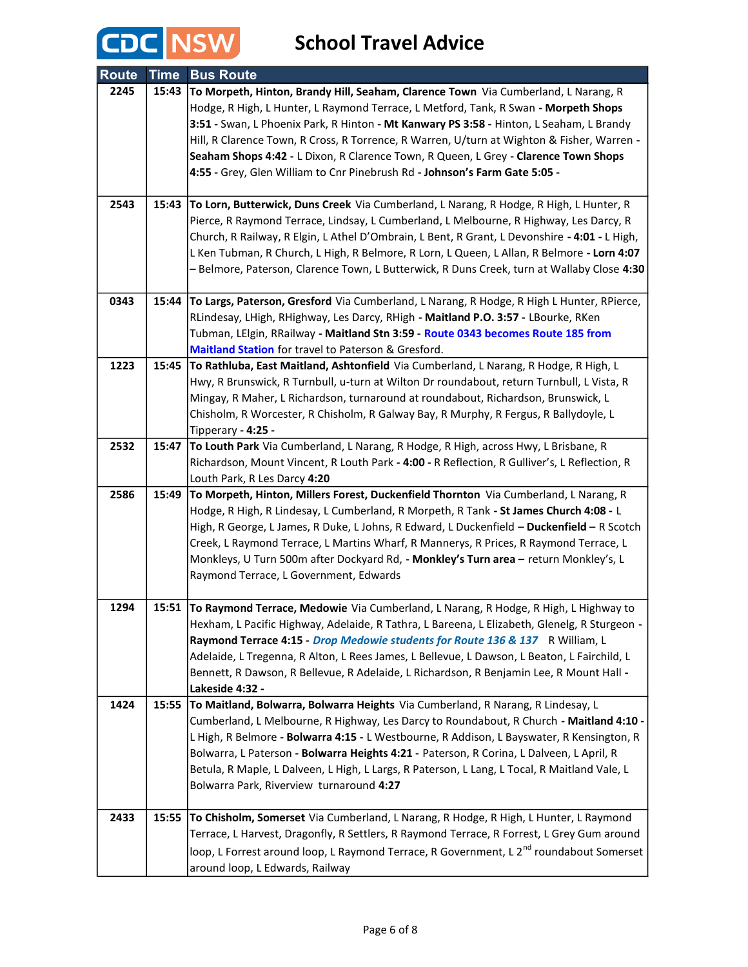

| <b>Route</b> | <b>Time</b> | <b>Bus Route</b>                                                                                                                                                                   |
|--------------|-------------|------------------------------------------------------------------------------------------------------------------------------------------------------------------------------------|
| 2245         | 15:43       | To Morpeth, Hinton, Brandy Hill, Seaham, Clarence Town Via Cumberland, L Narang, R                                                                                                 |
|              |             | Hodge, R High, L Hunter, L Raymond Terrace, L Metford, Tank, R Swan - Morpeth Shops                                                                                                |
|              |             | 3:51 - Swan, L Phoenix Park, R Hinton - Mt Kanwary PS 3:58 - Hinton, L Seaham, L Brandy                                                                                            |
|              |             | Hill, R Clarence Town, R Cross, R Torrence, R Warren, U/turn at Wighton & Fisher, Warren -                                                                                         |
|              |             | Seaham Shops 4:42 - L Dixon, R Clarence Town, R Queen, L Grey - Clarence Town Shops                                                                                                |
|              |             | 4:55 - Grey, Glen William to Cnr Pinebrush Rd - Johnson's Farm Gate 5:05 -                                                                                                         |
| 2543         | 15:43       |                                                                                                                                                                                    |
|              |             | To Lorn, Butterwick, Duns Creek Via Cumberland, L Narang, R Hodge, R High, L Hunter, R<br>Pierce, R Raymond Terrace, Lindsay, L Cumberland, L Melbourne, R Highway, Les Darcy, R   |
|              |             | Church, R Railway, R Elgin, L Athel D'Ombrain, L Bent, R Grant, L Devonshire - 4:01 - L High,                                                                                      |
|              |             | L Ken Tubman, R Church, L High, R Belmore, R Lorn, L Queen, L Allan, R Belmore - Lorn 4:07                                                                                         |
|              |             | - Belmore, Paterson, Clarence Town, L Butterwick, R Duns Creek, turn at Wallaby Close 4:30                                                                                         |
|              |             |                                                                                                                                                                                    |
| 0343         | 15:44       | To Largs, Paterson, Gresford Via Cumberland, L Narang, R Hodge, R High L Hunter, RPierce,                                                                                          |
|              |             | RLindesay, LHigh, RHighway, Les Darcy, RHigh - Maitland P.O. 3:57 - LBourke, RKen                                                                                                  |
|              |             | Tubman, LElgin, RRailway - Maitland Stn 3:59 - Route 0343 becomes Route 185 from                                                                                                   |
|              |             | Maitland Station for travel to Paterson & Gresford.                                                                                                                                |
| 1223         | 15:45       | To Rathluba, East Maitland, Ashtonfield Via Cumberland, L Narang, R Hodge, R High, L                                                                                               |
|              |             | Hwy, R Brunswick, R Turnbull, u-turn at Wilton Dr roundabout, return Turnbull, L Vista, R                                                                                          |
|              |             | Mingay, R Maher, L Richardson, turnaround at roundabout, Richardson, Brunswick, L                                                                                                  |
|              |             | Chisholm, R Worcester, R Chisholm, R Galway Bay, R Murphy, R Fergus, R Ballydoyle, L                                                                                               |
| 2532         | 15:47       | Tipperary - 4:25 -                                                                                                                                                                 |
|              |             | To Louth Park Via Cumberland, L Narang, R Hodge, R High, across Hwy, L Brisbane, R<br>Richardson, Mount Vincent, R Louth Park - 4:00 - R Reflection, R Gulliver's, L Reflection, R |
|              |             | Louth Park, R Les Darcy 4:20                                                                                                                                                       |
| 2586         | 15:49       | To Morpeth, Hinton, Millers Forest, Duckenfield Thornton Via Cumberland, L Narang, R                                                                                               |
|              |             | Hodge, R High, R Lindesay, L Cumberland, R Morpeth, R Tank - St James Church 4:08 - L                                                                                              |
|              |             | High, R George, L James, R Duke, L Johns, R Edward, L Duckenfield - Duckenfield - R Scotch                                                                                         |
|              |             | Creek, L Raymond Terrace, L Martins Wharf, R Mannerys, R Prices, R Raymond Terrace, L                                                                                              |
|              |             | Monkleys, U Turn 500m after Dockyard Rd, - Monkley's Turn area - return Monkley's, L                                                                                               |
|              |             | Raymond Terrace, L Government, Edwards                                                                                                                                             |
|              |             |                                                                                                                                                                                    |
| 1294         |             | 15:51 To Raymond Terrace, Medowie Via Cumberland, L Narang, R Hodge, R High, L Highway to                                                                                          |
|              |             | Hexham, L Pacific Highway, Adelaide, R Tathra, L Bareena, L Elizabeth, Glenelg, R Sturgeon -                                                                                       |
|              |             | Raymond Terrace 4:15 - Drop Medowie students for Route 136 & 137 R William, L                                                                                                      |
|              |             | Adelaide, L Tregenna, R Alton, L Rees James, L Bellevue, L Dawson, L Beaton, L Fairchild, L                                                                                        |
|              |             | Bennett, R Dawson, R Bellevue, R Adelaide, L Richardson, R Benjamin Lee, R Mount Hall -<br>Lakeside 4:32 -                                                                         |
| 1424         | 15:55       | To Maitland, Bolwarra, Bolwarra Heights Via Cumberland, R Narang, R Lindesay, L                                                                                                    |
|              |             | Cumberland, L Melbourne, R Highway, Les Darcy to Roundabout, R Church - Maitland 4:10 -                                                                                            |
|              |             | L High, R Belmore - Bolwarra 4:15 - L Westbourne, R Addison, L Bayswater, R Kensington, R                                                                                          |
|              |             | Bolwarra, L Paterson - Bolwarra Heights 4:21 - Paterson, R Corina, L Dalveen, L April, R                                                                                           |
|              |             | Betula, R Maple, L Dalveen, L High, L Largs, R Paterson, L Lang, L Tocal, R Maitland Vale, L                                                                                       |
|              |             | Bolwarra Park, Riverview turnaround 4:27                                                                                                                                           |
|              |             |                                                                                                                                                                                    |
| 2433         | 15:55       | To Chisholm, Somerset Via Cumberland, L Narang, R Hodge, R High, L Hunter, L Raymond                                                                                               |
|              |             | Terrace, L Harvest, Dragonfly, R Settlers, R Raymond Terrace, R Forrest, L Grey Gum around                                                                                         |
|              |             | loop, L Forrest around loop, L Raymond Terrace, R Government, L 2 <sup>nd</sup> roundabout Somerset                                                                                |
|              |             | around loop, L Edwards, Railway                                                                                                                                                    |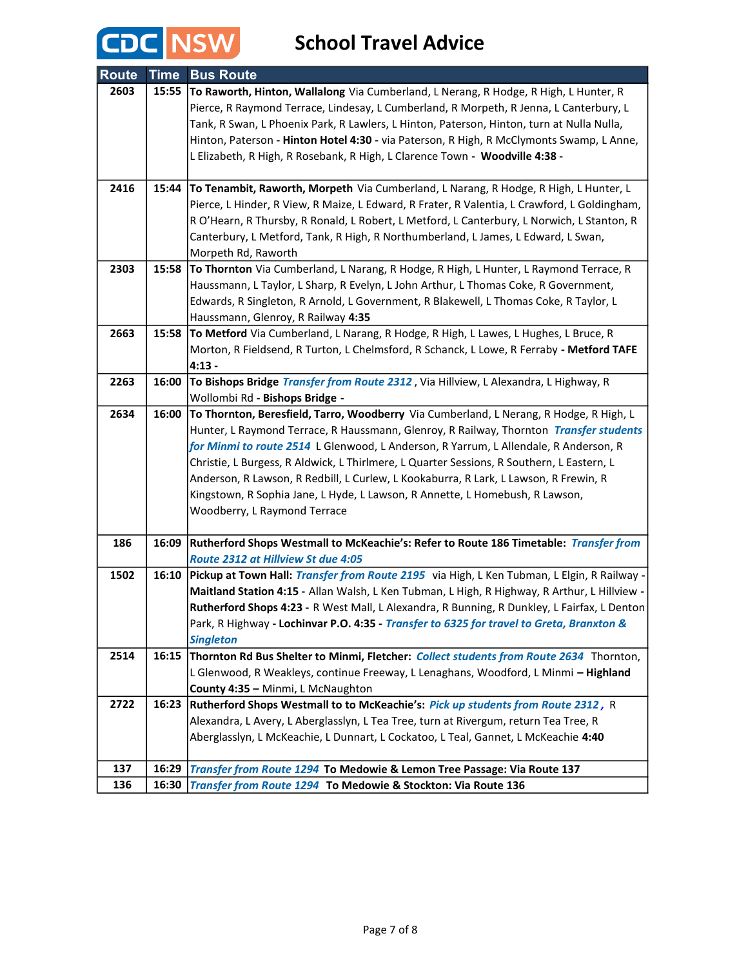

| <b>Route</b> | <b>Time</b> | <b>Bus Route</b>                                                                                   |
|--------------|-------------|----------------------------------------------------------------------------------------------------|
| 2603         | 15:55       | To Raworth, Hinton, Wallalong Via Cumberland, L Nerang, R Hodge, R High, L Hunter, R               |
|              |             | Pierce, R Raymond Terrace, Lindesay, L Cumberland, R Morpeth, R Jenna, L Canterbury, L             |
|              |             | Tank, R Swan, L Phoenix Park, R Lawlers, L Hinton, Paterson, Hinton, turn at Nulla Nulla,          |
|              |             | Hinton, Paterson - Hinton Hotel 4:30 - via Paterson, R High, R McClymonts Swamp, L Anne,           |
|              |             | L Elizabeth, R High, R Rosebank, R High, L Clarence Town - Woodville 4:38 -                        |
|              |             |                                                                                                    |
| 2416         | 15:44       | To Tenambit, Raworth, Morpeth Via Cumberland, L Narang, R Hodge, R High, L Hunter, L               |
|              |             | Pierce, L Hinder, R View, R Maize, L Edward, R Frater, R Valentia, L Crawford, L Goldingham,       |
|              |             | R O'Hearn, R Thursby, R Ronald, L Robert, L Metford, L Canterbury, L Norwich, L Stanton, R         |
|              |             | Canterbury, L Metford, Tank, R High, R Northumberland, L James, L Edward, L Swan,                  |
|              |             | Morpeth Rd, Raworth                                                                                |
| 2303         | 15:58       | To Thornton Via Cumberland, L Narang, R Hodge, R High, L Hunter, L Raymond Terrace, R              |
|              |             | Haussmann, L Taylor, L Sharp, R Evelyn, L John Arthur, L Thomas Coke, R Government,                |
|              |             | Edwards, R Singleton, R Arnold, L Government, R Blakewell, L Thomas Coke, R Taylor, L              |
|              |             | Haussmann, Glenroy, R Railway 4:35                                                                 |
| 2663         | 15:58       | To Metford Via Cumberland, L Narang, R Hodge, R High, L Lawes, L Hughes, L Bruce, R                |
|              |             | Morton, R Fieldsend, R Turton, L Chelmsford, R Schanck, L Lowe, R Ferraby - Metford TAFE           |
|              |             | $4:13 -$                                                                                           |
| 2263         | 16:00       | To Bishops Bridge Transfer from Route 2312, Via Hillview, L Alexandra, L Highway, R                |
|              |             | Wollombi Rd - Bishops Bridge -                                                                     |
| 2634         | 16:00       | To Thornton, Beresfield, Tarro, Woodberry Via Cumberland, L Nerang, R Hodge, R High, L             |
|              |             | Hunter, L Raymond Terrace, R Haussmann, Glenroy, R Railway, Thornton Transfer students             |
|              |             | for Minmi to route 2514 L Glenwood, L Anderson, R Yarrum, L Allendale, R Anderson, R               |
|              |             | Christie, L Burgess, R Aldwick, L Thirlmere, L Quarter Sessions, R Southern, L Eastern, L          |
|              |             | Anderson, R Lawson, R Redbill, L Curlew, L Kookaburra, R Lark, L Lawson, R Frewin, R               |
|              |             | Kingstown, R Sophia Jane, L Hyde, L Lawson, R Annette, L Homebush, R Lawson,                       |
|              |             | Woodberry, L Raymond Terrace                                                                       |
| 186          | 16:09       | Rutherford Shops Westmall to McKeachie's: Refer to Route 186 Timetable: Transfer from              |
|              |             | Route 2312 at Hillview St due 4:05                                                                 |
| 1502         | 16:10       | Pickup at Town Hall: Transfer from Route 2195 via High, L Ken Tubman, L Elgin, R Railway -         |
|              |             | Maitland Station 4:15 - Allan Walsh, L Ken Tubman, L High, R Highway, R Arthur, L Hillview -       |
|              |             | <b>Rutherford Shops 4:23 - R</b> West Mall, L Alexandra, R Bunning, R Dunkley, L Fairfax, L Denton |
|              |             | Park, R Highway - Lochinvar P.O. 4:35 - Transfer to 6325 for travel to Greta, Branxton &           |
|              |             | <b>Singleton</b>                                                                                   |
| 2514         | 16:15       | Thornton Rd Bus Shelter to Minmi, Fletcher: Collect students from Route 2634 Thornton,             |
|              |             | L Glenwood, R Weakleys, continue Freeway, L Lenaghans, Woodford, L Minmi - Highland                |
|              |             | County 4:35 - Minmi, L McNaughton                                                                  |
| 2722         | 16:23       | Rutherford Shops Westmall to to McKeachie's: Pick up students from Route 2312, R                   |
|              |             | Alexandra, L Avery, L Aberglasslyn, L Tea Tree, turn at Rivergum, return Tea Tree, R               |
|              |             | Aberglasslyn, L McKeachie, L Dunnart, L Cockatoo, L Teal, Gannet, L McKeachie 4:40                 |
|              |             |                                                                                                    |
| 137          | 16:29       | Transfer from Route 1294 To Medowie & Lemon Tree Passage: Via Route 137                            |
| 136          | 16:30       | Transfer from Route 1294 To Medowie & Stockton: Via Route 136                                      |